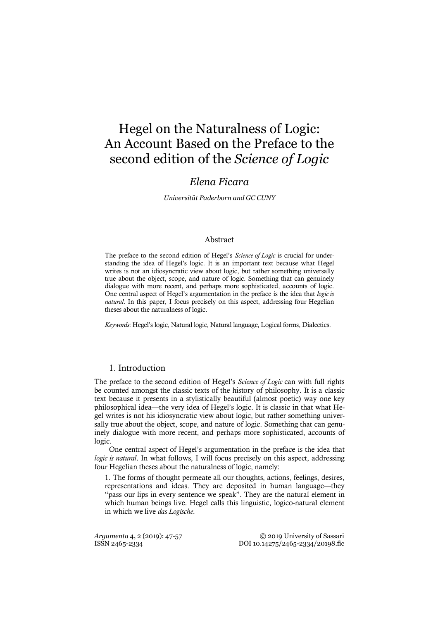# Hegel on the Naturalness of Logic: An Account Based on the Preface to the second edition of the *Science of Logic*

## *Elena Ficara*

*Universität Paderborn and GC CUNY*

#### Abstract

The preface to the second edition of Hegel's *Science of Logic* is crucial for understanding the idea of Hegel's logic. It is an important text because what Hegel writes is not an idiosyncratic view about logic, but rather something universally true about the object, scope, and nature of logic. Something that can genuinely dialogue with more recent, and perhaps more sophisticated, accounts of logic. One central aspect of Hegel's argumentation in the preface is the idea that *logic is natural*. In this paper, I focus precisely on this aspect, addressing four Hegelian theses about the naturalness of logic.

*Keywords*: Hegel's logic, Natural logic, Natural language, Logical forms, Dialectics.

#### 1. Introduction

The preface to the second edition of Hegel's *Science of Logic* can with full rights be counted amongst the classic texts of the history of philosophy. It is a classic text because it presents in a stylistically beautiful (almost poetic) way one key philosophical idea—the very idea of Hegel's logic. It is classic in that what Hegel writes is not his idiosyncratic view about logic, but rather something universally true about the object, scope, and nature of logic. Something that can genuinely dialogue with more recent, and perhaps more sophisticated, accounts of logic.

One central aspect of Hegel's argumentation in the preface is the idea that *logic is natural*. In what follows, I will focus precisely on this aspect, addressing four Hegelian theses about the naturalness of logic, namely:

1. The forms of thought permeate all our thoughts, actions, feelings, desires, representations and ideas. They are deposited in human language—they "pass our lips in every sentence we speak". They are the natural element in which human beings live. Hegel calls this linguistic, logico-natural element in which we live *das Logische*.

*Argumenta* 4, 2 (2019): 47-57 © 2019 University of Sassari ISSN 2465-2334 DOI 10.14275/2465-2334/20198.fic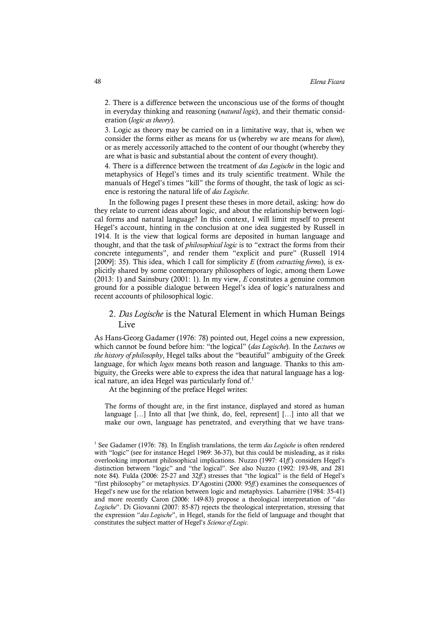2. There is a difference between the unconscious use of the forms of thought in everyday thinking and reasoning (*natural logic*), and their thematic consideration (*logic as theory*).

3. Logic as theory may be carried on in a limitative way, that is, when we consider the forms either as means for us (whereby *we* are means for *them*), or as merely accessorily attached to the content of our thought (whereby they are what is basic and substantial about the content of every thought).

4. There is a difference between the treatment of *das Logische* in the logic and metaphysics of Hegel's times and its truly scientific treatment. While the manuals of Hegel's times "kill" the forms of thought, the task of logic as science is restoring the natural life of *das Logische*.

In the following pages I present these theses in more detail, asking: how do they relate to current ideas about logic, and about the relationship between logical forms and natural language? In this context, I will limit myself to present Hegel's account, hinting in the conclusion at one idea suggested by Russell in 1914. It is the view that logical forms are deposited in human language and thought, and that the task of *philosophical logic* is to "extract the forms from their concrete integuments", and render them "explicit and pure" (Russell 1914 [2009]: 35). This idea, which I call for simplicity *E* (from *extracting forms*), is explicitly shared by some contemporary philosophers of logic, among them Lowe (2013: 1) and Sainsbury (2001: 1). In my view, *E* constitutes a genuine common ground for a possible dialogue between Hegel's idea of logic's naturalness and recent accounts of philosophical logic.

## 2. *Das Logische* is the Natural Element in which Human Beings Live

As Hans-Georg Gadamer (1976: 78) pointed out, Hegel coins a new expression, which cannot be found before him: "the logical" (*das Logische*). In the *Lectures on the history of philosophy*, Hegel talks about the "beautiful" ambiguity of the Greek language, for which *logos* means both reason and language. Thanks to this ambiguity, the Greeks were able to express the idea that natural language has a logical nature, an idea Hegel was particularly fond of.<sup>1</sup>

At the beginning of the preface Hegel writes:

The forms of thought are, in the first instance, displayed and stored as human language […] Into all that [we think, do, feel, represent] […] into all that we make our own, language has penetrated, and everything that we have trans-

<sup>&</sup>lt;sup>1</sup> See Gadamer (1976: 78). In English translations, the term *das Logische* is often rendered with "logic" (see for instance Hegel 1969: 36-37), but this could be misleading, as it risks overlooking important philosophical implications. Nuzzo (1997: 41*ff*.) considers Hegel's distinction between "logic" and "the logical". See also Nuzzo (1992: 193-98, and 281 note 84). Fulda (2006: 25-27 and 32*ff*.) stresses that "the logical" is the field of Hegel's "first philosophy" or metaphysics. D'Agostini (2000: 95*ff*.) examines the consequences of Hegel's new use for the relation between logic and metaphysics. Labarrière (1984: 35-41) and more recently Caron (2006: 149-83) propose a theological interpretation of "*das Logische*". Di Giovanni (2007: 85-87) rejects the theological interpretation, stressing that the expression "*das Logische*", in Hegel, stands for the field of language and thought that constitutes the subject matter of Hegel's *Science of Logic*.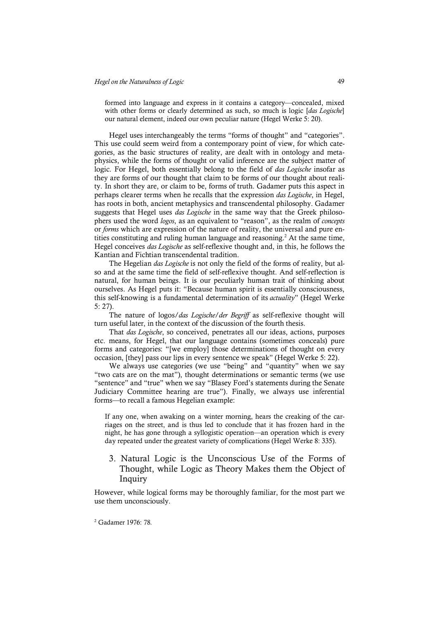formed into language and express in it contains a category—concealed, mixed with other forms or clearly determined as such, so much is logic [*das Logische*] our natural element, indeed our own peculiar nature (Hegel Werke 5: 20).

Hegel uses interchangeably the terms "forms of thought" and "categories". This use could seem weird from a contemporary point of view, for which categories, as the basic structures of reality, are dealt with in ontology and metaphysics, while the forms of thought or valid inference are the subject matter of logic. For Hegel, both essentially belong to the field of *das Logische* insofar as they are forms of our thought that claim to be forms of our thought about reality. In short they are, or claim to be, forms of truth. Gadamer puts this aspect in perhaps clearer terms when he recalls that the expression *das Logische*, in Hegel, has roots in both, ancient metaphysics and transcendental philosophy. Gadamer suggests that Hegel uses *das Logische* in the same way that the Greek philosophers used the word *logos*, as an equivalent to "reason", as the realm of *concepts* or *forms* which are expression of the nature of reality, the universal and pure entities constituting and ruling human language and reasoning.<sup>2</sup> At the same time, Hegel conceives *das Logische* as self-reflexive thought and, in this, he follows the Kantian and Fichtian transcendental tradition.

The Hegelian *das Logische* is not only the field of the forms of reality, but also and at the same time the field of self-reflexive thought. And self-reflection is natural, for human beings. It is our peculiarly human trait of thinking about ourselves. As Hegel puts it: "Because human spirit is essentially consciousness, this self-knowing is a fundamental determination of its *actuality*" (Hegel Werke 5: 27).

The nature of logos/*das Logische*/*der Begriff* as self-reflexive thought will turn useful later, in the context of the discussion of the fourth thesis.

That *das Logische*, so conceived, penetrates all our ideas, actions, purposes etc. means, for Hegel, that our language contains (sometimes conceals) pure forms and categories: "[we employ] those determinations of thought on every occasion, [they] pass our lips in every sentence we speak" (Hegel Werke 5: 22).

We always use categories (we use "being" and "quantity" when we say "two cats are on the mat"), thought determinations or semantic terms (we use "sentence" and "true" when we say "Blasey Ford's statements during the Senate Judiciary Committee hearing are true"). Finally, we always use inferential forms—to recall a famous Hegelian example:

If any one, when awaking on a winter morning, hears the creaking of the carriages on the street, and is thus led to conclude that it has frozen hard in the night, he has gone through a syllogistic operation—an operation which is every day repeated under the greatest variety of complications (Hegel Werke 8: 335).

## 3. Natural Logic is the Unconscious Use of the Forms of Thought, while Logic as Theory Makes them the Object of Inquiry

However, while logical forms may be thoroughly familiar, for the most part we use them unconsciously.

<sup>2</sup> Gadamer 1976: 78.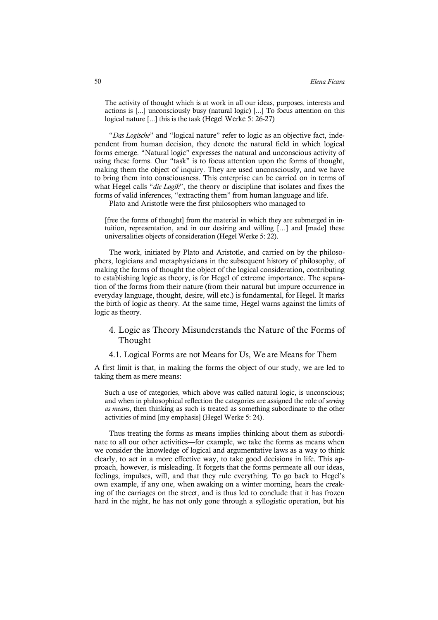The activity of thought which is at work in all our ideas, purposes, interests and actions is [...] unconsciously busy (natural logic) [...] To focus attention on this logical nature [...] this is the task (Hegel Werke 5: 26-27)

"*Das Logische*" and "logical nature" refer to logic as an objective fact, independent from human decision, they denote the natural field in which logical forms emerge. "Natural logic" expresses the natural and unconscious activity of using these forms. Our "task" is to focus attention upon the forms of thought, making them the object of inquiry. They are used unconsciously, and we have to bring them into consciousness. This enterprise can be carried on in terms of what Hegel calls "*die Logik*", the theory or discipline that isolates and fixes the forms of valid inferences, "extracting them" from human language and life.

Plato and Aristotle were the first philosophers who managed to

[free the forms of thought] from the material in which they are submerged in intuition, representation, and in our desiring and willing […] and [made] these universalities objects of consideration (Hegel Werke 5: 22).

The work, initiated by Plato and Aristotle, and carried on by the philosophers, logicians and metaphysicians in the subsequent history of philosophy, of making the forms of thought the object of the logical consideration, contributing to establishing logic as theory, is for Hegel of extreme importance. The separation of the forms from their nature (from their natural but impure occurrence in everyday language, thought, desire, will etc.) is fundamental, for Hegel. It marks the birth of logic as theory. At the same time, Hegel warns against the limits of logic as theory.

## 4. Logic as Theory Misunderstands the Nature of the Forms of Thought

#### 4.1. Logical Forms are not Means for Us, We are Means for Them

A first limit is that, in making the forms the object of our study, we are led to taking them as mere means:

Such a use of categories, which above was called natural logic, is unconscious; and when in philosophical reflection the categories are assigned the role of *serving as means*, then thinking as such is treated as something subordinate to the other activities of mind [my emphasis] (Hegel Werke 5: 24).

Thus treating the forms as means implies thinking about them as subordinate to all our other activities—for example, we take the forms as means when we consider the knowledge of logical and argumentative laws as a way to think clearly, to act in a more effective way, to take good decisions in life. This approach, however, is misleading. It forgets that the forms permeate all our ideas, feelings, impulses, will, and that they rule everything. To go back to Hegel's own example, if any one, when awaking on a winter morning, hears the creaking of the carriages on the street, and is thus led to conclude that it has frozen hard in the night, he has not only gone through a syllogistic operation, but his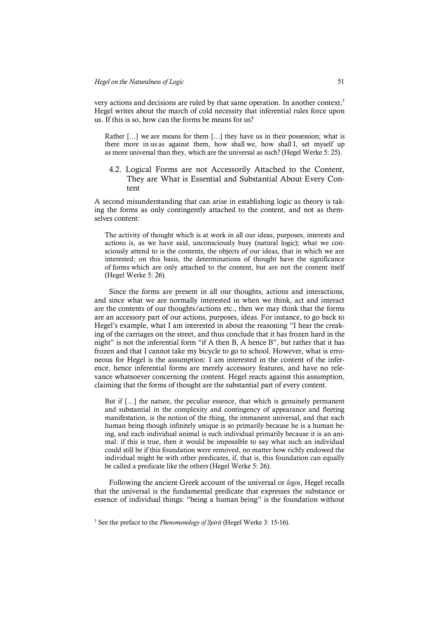very actions and decisions are ruled by that same operation. In another context.<sup>3</sup> Hegel writes about the march of cold necessity that inferential rules force upon us. If this is so, how can the forms be means for us?

Rather […] we are means for them […] they have us in their possession; what is there more in us as against them, how shall we, how shall I, set myself up as more universal than they, which are the universal as such? (Hegel Werke 5: 25).

#### 4.2. Logical Forms are not Accessorily Attached to the Content, They are What is Essential and Substantial About Every Content

A second misunderstanding that can arise in establishing logic as theory is taking the forms as only contingently attached to the content, and not as themselves content:

The activity of thought which is at work in all our ideas, purposes, interests and actions is, as we have said, unconsciously busy (natural logic); what we consciously attend to is the contents, the objects of our ideas, that in which we are interested; on this basis, the determinations of thought have the significance of forms which are only attached to the content, but are not the content itself (Hegel Werke 5: 26).

Since the forms are present in all our thoughts, actions and interactions, and since what we are normally interested in when we think, act and interact are the contents of our thoughts/actions etc., then we may think that the forms are an accessory part of our actions, purposes, ideas. For instance, to go back to Hegel's example, what I am interested in about the reasoning "I hear the creaking of the carriages on the street, and thus conclude that it has frozen hard in the night" is not the inferential form "if A then B, A hence B", but rather that it has frozen and that I cannot take my bicycle to go to school. However, what is erroneous for Hegel is the assumption: I am interested in the content of the inference, hence inferential forms are merely accessory features, and have no relevance whatsoever concerning the content. Hegel reacts against this assumption, claiming that the forms of thought are the substantial part of every content.

But if […] the nature, the peculiar essence, that which is genuinely permanent and substantial in the complexity and contingency of appearance and fleeting manifestation, is the notion of the thing, the immanent universal, and that each human being though infinitely unique is so primarily because he is a human being, and each individual animal is such individual primarily because it is an animal: if this is true, then it would be impossible to say what such an individual could still be if this foundation were removed, no matter how richly endowed the individual might be with other predicates, if, that is, this foundation can equally be called a predicate like the others (Hegel Werke 5: 26).

Following the ancient Greek account of the universal or *logos*, Hegel recalls that the universal is the fundamental predicate that expresses the substance or essence of individual things: "being a human being" is the foundation without

<sup>3</sup> See the preface to the *Phenomenology of Spirit* (Hegel Werke 3: 15-16).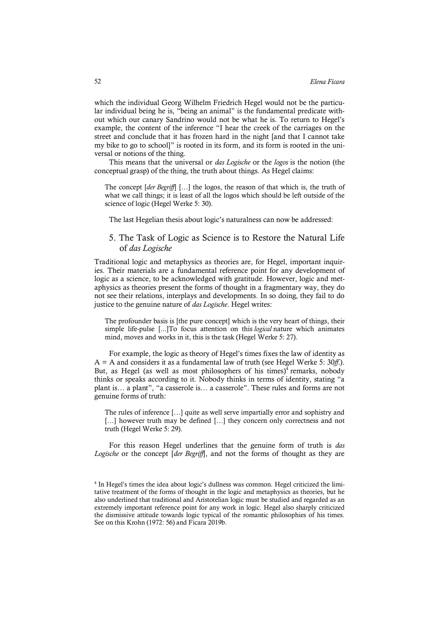which the individual Georg Wilhelm Friedrich Hegel would not be the particular individual being he is, "being an animal" is the fundamental predicate without which our canary Sandrino would not be what he is. To return to Hegel's example, the content of the inference "I hear the creek of the carriages on the street and conclude that it has frozen hard in the night [and that I cannot take my bike to go to school]" is rooted in its form, and its form is rooted in the universal or notions of the thing.

This means that the universal or *das Logische* or the *logos* is the notion (the conceptual grasp) of the thing, the truth about things. As Hegel claims:

The concept [*der Begriff*] […] the logos, the reason of that which is, the truth of what we call things; it is least of all the logos which should be left outside of the science of logic (Hegel Werke 5: 30).

The last Hegelian thesis about logic's naturalness can now be addressed:

### 5. The Task of Logic as Science is to Restore the Natural Life of *das Logische*

Traditional logic and metaphysics as theories are, for Hegel, important inquiries. Their materials are a fundamental reference point for any development of logic as a science, to be acknowledged with gratitude. However, logic and metaphysics as theories present the forms of thought in a fragmentary way, they do not see their relations, interplays and developments. In so doing, they fail to do justice to the genuine nature of *das Logische*. Hegel writes:

The profounder basis is [the pure concept] which is the very heart of things, their simple life-pulse [...]To focus attention on this *logical* nature which animates mind, moves and works in it, this is the task (Hegel Werke 5: 27).

For example, the logic as theory of Hegel's times fixes the law of identity as A = A and considers it as a fundamental law of truth (see Hegel Werke 5: 30*ff*.). But, as Hegel (as well as most philosophers of his times)<sup>4</sup> remarks, nobody thinks or speaks according to it. Nobody thinks in terms of identity, stating "a plant is… a plant", "a casserole is… a casserole". These rules and forms are not genuine forms of truth:

The rules of inference […] quite as well serve impartially error and sophistry and [...] however truth may be defined [...] they concern only correctness and not truth (Hegel Werke 5: 29).

For this reason Hegel underlines that the genuine form of truth is *das Logische* or the concept [*der Begriff*], and not the forms of thought as they are

<sup>&</sup>lt;sup>4</sup> In Hegel's times the idea about logic's dullness was common. Hegel criticized the limitative treatment of the forms of thought in the logic and metaphysics as theories, but he also underlined that traditional and Aristotelian logic must be studied and regarded as an extremely important reference point for any work in logic. Hegel also sharply criticized the dismissive attitude towards logic typical of the romantic philosophies of his times. See on this Krohn (1972: 56) and Ficara 2019b.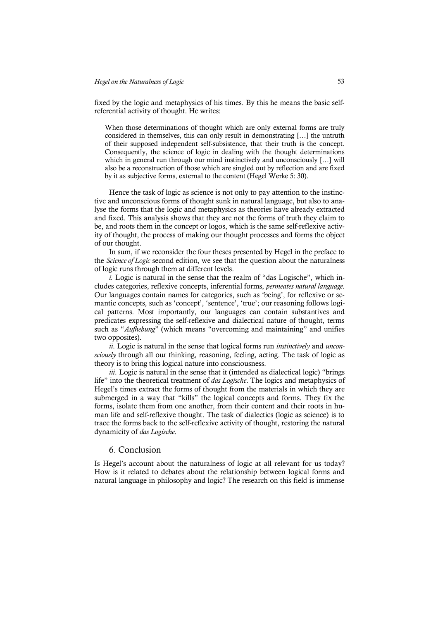fixed by the logic and metaphysics of his times. By this he means the basic selfreferential activity of thought. He writes:

When those determinations of thought which are only external forms are truly considered in themselves, this can only result in demonstrating […] the untruth of their supposed independent self-subsistence, that their truth is the concept. Consequently, the science of logic in dealing with the thought determinations which in general run through our mind instinctively and unconsciously [...] will also be a reconstruction of those which are singled out by reflection and are fixed by it as subjective forms, external to the content (Hegel Werke 5: 30).

Hence the task of logic as science is not only to pay attention to the instinctive and unconscious forms of thought sunk in natural language, but also to analyse the forms that the logic and metaphysics as theories have already extracted and fixed. This analysis shows that they are not the forms of truth they claim to be, and roots them in the concept or logos, which is the same self-reflexive activity of thought, the process of making our thought processes and forms the object of our thought.

In sum, if we reconsider the four theses presented by Hegel in the preface to the *Science of Logic* second edition, we see that the question about the naturalness of logic runs through them at different levels.

*i.* Logic is natural in the sense that the realm of "das Logische", which includes categories, reflexive concepts, inferential forms, *permeates natural language*. Our languages contain names for categories, such as 'being', for reflexive or semantic concepts, such as 'concept', 'sentence', 'true'; our reasoning follows logical patterns. Most importantly, our languages can contain substantives and predicates expressing the self-reflexive and dialectical nature of thought, terms such as "*Aufhebung*" (which means "overcoming and maintaining" and unifies two opposites).

*ii*. Logic is natural in the sense that logical forms run *instinctively* and *unconsciously* through all our thinking, reasoning, feeling, acting. The task of logic as theory is to bring this logical nature into consciousness.

*iii*. Logic is natural in the sense that it (intended as dialectical logic) "brings life" into the theoretical treatment of *das Logische*. The logics and metaphysics of Hegel's times extract the forms of thought from the materials in which they are submerged in a way that "kills" the logical concepts and forms. They fix the forms, isolate them from one another, from their content and their roots in human life and self-reflexive thought. The task of dialectics (logic as science) is to trace the forms back to the self-reflexive activity of thought, restoring the natural dynamicity of *das Logische*.

#### 6. Conclusion

Is Hegel's account about the naturalness of logic at all relevant for us today? How is it related to debates about the relationship between logical forms and natural language in philosophy and logic? The research on this field is immense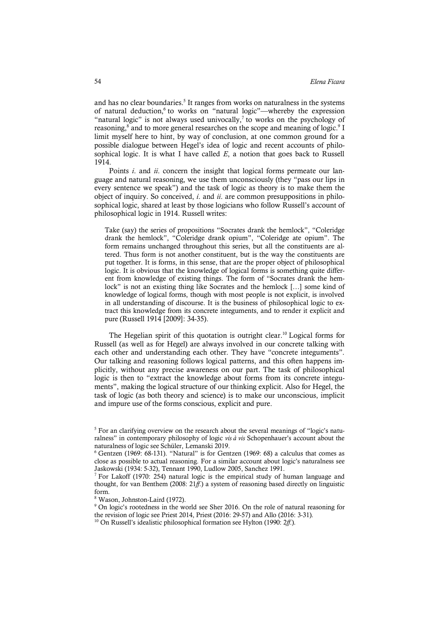and has no clear boundaries. <sup>5</sup> It ranges from works on naturalness in the systems of natural deduction,<sup>6</sup> to works on "natural logic"—whereby the expression "natural logic" is not always used univocally,<sup>7</sup> to works on the psychology of reasoning,<sup>8</sup> and to more general researches on the scope and meaning of logic.<sup>9</sup> I limit myself here to hint, by way of conclusion, at one common ground for a possible dialogue between Hegel's idea of logic and recent accounts of philosophical logic. It is what I have called *E*, a notion that goes back to Russell 1914.

Points *i*. and *ii*. concern the insight that logical forms permeate our language and natural reasoning, we use them unconsciously (they "pass our lips in every sentence we speak") and the task of logic as theory is to make them the object of inquiry. So conceived, *i*. and *ii*. are common presuppositions in philosophical logic, shared at least by those logicians who follow Russell's account of philosophical logic in 1914. Russell writes:

Take (say) the series of propositions "Socrates drank the hemlock", "Coleridge drank the hemlock", "Coleridge drank opium", "Coleridge ate opium". The form remains unchanged throughout this series, but all the constituents are altered. Thus form is not another constituent, but is the way the constituents are put together. It is forms, in this sense, that are the proper object of philosophical logic. It is obvious that the knowledge of logical forms is something quite different from knowledge of existing things. The form of "Socrates drank the hemlock" is not an existing thing like Socrates and the hemlock […] some kind of knowledge of logical forms, though with most people is not explicit, is involved in all understanding of discourse. It is the business of philosophical logic to extract this knowledge from its concrete integuments, and to render it explicit and pure (Russell 1914 [2009]: 34-35).

The Hegelian spirit of this quotation is outright clear.<sup>10</sup> Logical forms for Russell (as well as for Hegel) are always involved in our concrete talking with each other and understanding each other. They have "concrete integuments". Our talking and reasoning follows logical patterns, and this often happens implicitly, without any precise awareness on our part. The task of philosophical logic is then to "extract the knowledge about forms from its concrete integuments", making the logical structure of our thinking explicit. Also for Hegel, the task of logic (as both theory and science) is to make our unconscious, implicit and impure use of the forms conscious, explicit and pure.

<sup>&</sup>lt;sup>5</sup> For an clarifying overview on the research about the several meanings of "logic's naturalness" in contemporary philosophy of logic *vis à vis* Schopenhauer's account about the naturalness of logic see Schüler, Lemanski 2019.

 $6$  Gentzen (1969: 68-131). "Natural" is for Gentzen (1969: 68) a calculus that comes as close as possible to actual reasoning. For a similar account about logic's naturalness see Jaskowski (1934: 5-32), Tennant 1990, Ludlow 2005, Sanchez 1991.

<sup>7</sup> For Lakoff (1970: 254) natural logic is the empirical study of human language and thought, for van Benthem (2008: 21*ff*.) a system of reasoning based directly on linguistic form.

<sup>8</sup> Wason, Johnston-Laird (1972).

<sup>&</sup>lt;sup>9</sup> On logic's rootedness in the world see Sher 2016. On the role of natural reasoning for the revision of logic see Priest 2014, Priest (2016: 29-57) and Allo (2016: 3-31).

<sup>10</sup> On Russell's idealistic philosophical formation see Hylton (1990: 2*ff*.).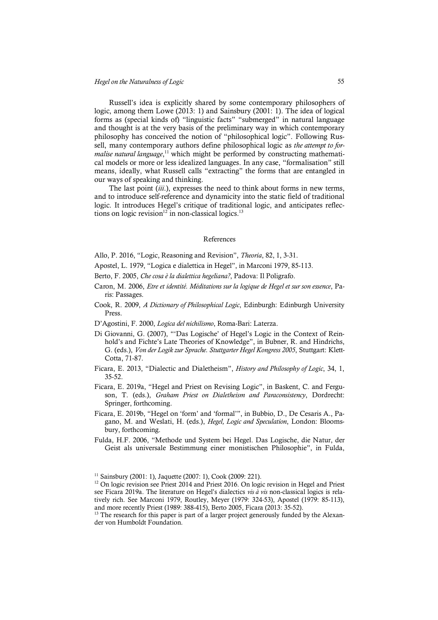Russell's idea is explicitly shared by some contemporary philosophers of logic, among them Lowe (2013: 1) and Sainsbury (2001: 1). The idea of logical forms as (special kinds of) "linguistic facts" "submerged" in natural language and thought is at the very basis of the preliminary way in which contemporary philosophy has conceived the notion of "philosophical logic". Following Russell, many contemporary authors define philosophical logic as *the attempt to for*malise natural language,<sup>11</sup> which might be performed by constructing mathematical models or more or less idealized languages. In any case, "formalisation" still means, ideally, what Russell calls "extracting" the forms that are entangled in our ways of speaking and thinking.

The last point (*iii*.), expresses the need to think about forms in new terms, and to introduce self-reference and dynamicity into the static field of traditional logic. It introduces Hegel's critique of traditional logic, and anticipates reflections on logic revision<sup>12</sup> in non-classical logics.<sup>13</sup>

#### References

Allo, P. 2016, "Logic, Reasoning and Revision", *Theoria*, 82, 1, 3-31.

- Apostel, L. 1979, "Logica e dialettica in Hegel", in Marconi 1979, 85-113.
- Berto, F. 2005, *Che cosa è la dialettica hegeliana?*, Padova: Il Poligrafo.
- Caron, M. 2006, *Etre et identité. Méditations sur la logique de Hegel et sur son essence*, Paris: Passages.
- Cook, R. 2009, *A Dictionary of Philosophical Logic*, Edinburgh: Edinburgh University Press.
- D'Agostini, F. 2000, *Logica del nichilismo*, Roma-Bari: Laterza.
- Di Giovanni, G. (2007), "'Das Logische' of Hegel's Logic in the Context of Reinhold's and Fichte's Late Theories of Knowledge", in Bubner, R. and Hindrichs, G. (eds.), *Von der Logik zur Sprache. Stuttgarter Hegel Kongress 2005*, Stuttgart: Klett-Cotta, 71-87.
- Ficara, E. 2013, "Dialectic and Dialetheism", *History and Philosophy of Logic*, 34, 1, 35-52.
- Ficara, E. 2019a, "Hegel and Priest on Revising Logic", in Baskent, C. and Ferguson, T. (eds.), *Graham Priest on Dialetheism and Paraconsistency*, Dordrecht: Springer, forthcoming.
- Ficara, E. 2019b, "Hegel on 'form' and 'formal'", in Bubbio, D., De Cesaris A., Pagano, M. and Weslati, H. (eds.), *Hegel, Logic and Speculation*, London: Bloomsbury, forthcoming.
- Fulda, H.F. 2006, "Methode und System bei Hegel. Das Logische, die Natur, der Geist als universale Bestimmung einer monistischen Philosophie", in Fulda,

<sup>&</sup>lt;sup>11</sup> Sainsbury (2001: 1), Jaquette (2007: 1), Cook (2009: 221).

<sup>&</sup>lt;sup>12</sup> On logic revision see Priest 2014 and Priest 2016. On logic revision in Hegel and Priest see Ficara 2019a. The literature on Hegel's dialectics *vis à vis* non-classical logics is relatively rich. See Marconi 1979, Routley, Meyer (1979: 324-53), Apostel (1979: 85-113), and more recently Priest (1989: 388-415), Berto 2005, Ficara (2013: 35-52).

<sup>&</sup>lt;sup>13</sup> The research for this paper is part of a larger project generously funded by the Alexander von Humboldt Foundation.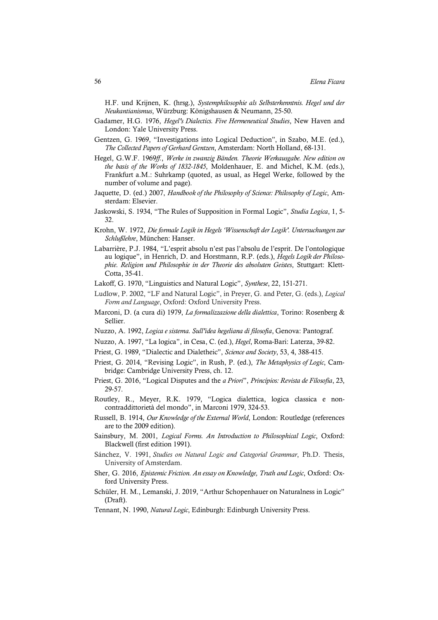H.F. und Krijnen, K. (hrsg.), *Systemphilosophie als Selbsterkenntnis. Hegel und der Neukantianismus*, Würzburg: Königshausen & Neumann, 25-50.

- Gadamer, H.G. 1976, *Hegel's Dialectics. Five Hermeneutical Studies*, New Haven and London: Yale University Press.
- Gentzen, G. 1969, "Investigations into Logical Deduction", in Szabo, M.E. (ed.), *The Collected Papers of Gerhard Gentzen*, Amsterdam: North Holland, 68-131.
- Hegel, G.W.F. 1969*ff.*, *Werke in zwanzig Bänden. Theorie Werkausgabe. New edition on the basis of the Works of 1832-1845*, Moldenhauer, E. and Michel, K.M. (eds.), Frankfurt a.M.: Suhrkamp (quoted, as usual, as Hegel Werke, followed by the number of volume and page).
- Jaquette, D. (ed.) 2007, *Handbook of the Philosophy of Science: Philosophy of Logic*, Amsterdam: Elsevier.
- Jaskowski, S. 1934, "The Rules of Supposition in Formal Logic", *Studia Logica*, 1, 5- 32.
- Krohn, W. 1972, *Die formale Logik in Hegels 'Wissenschaft der Logik'. Untersuchungen zur Schlußlehre*, München: Hanser.
- Labarrière, P.J. 1984, "L'esprit absolu n'est pas l'absolu de l'esprit. De l'ontologique au logique", in Henrich, D. and Horstmann, R.P. (eds.), *Hegels Logik der Philosophie. Religion und Philosophie in der Theorie des absoluten Geistes*, Stuttgart: Klett-Cotta, 35-41.
- Lakoff, G. 1970, "Linguistics and Natural Logic", *Synthese*, 22, 151-271.
- Ludlow, P. 2002, "LF and Natural Logic", in Preyer, G. and Peter, G. (eds.), *Logical Form and Language*, Oxford: Oxford University Press.
- Marconi, D. (a cura di) 1979, *La formalizzazione della dialettica*, Torino: Rosenberg & Sellier.
- Nuzzo, A. 1992, *Logica e sistema. Sull'idea hegeliana di filosofia*, Genova: Pantograf.
- Nuzzo, A. 1997, "La logica", in Cesa, C. (ed.), *Hegel*, Roma-Bari: Laterza, 39-82.
- Priest, G. 1989, "Dialectic and Dialetheic", *Science and Society*, 53, 4, 388-415.
- Priest, G. 2014, "Revising Logic", in Rush, P. (ed.), *The Metaphysics of Logic*, Cambridge: Cambridge University Press, ch. 12.
- Priest, G. 2016, "Logical Disputes and the *a Priori*", *Princípios: Revista de Filosofia*, 23, 29-57.
- Routley, R., Meyer, R.K. 1979, "Logica dialettica, logica classica e noncontraddittorietà del mondo", in Marconi 1979, 324-53.
- Russell, B. 1914, *Our Knowledge of the External World*, London: Routledge (references are to the 2009 edition).
- Sainsbury, M. 2001, *Logical Forms. An Introduction to Philosophical Logic*, Oxford: Blackwell (first edition 1991).
- Sánchez, V. 1991, *Studies on Natural Logic and Categorial Grammar*, Ph.D. Thesis, University of Amsterdam.
- Sher, G. 2016, *Epistemic Friction. An essay on Knowledge, Truth and Logic*, Oxford: Oxford University Press.
- Schüler, H. M., Lemanski, J. 2019, "Arthur Schopenhauer on Naturalness in Logic" (Draft).
- Tennant, N. 1990, *Natural Logic*, Edinburgh: Edinburgh University Press.